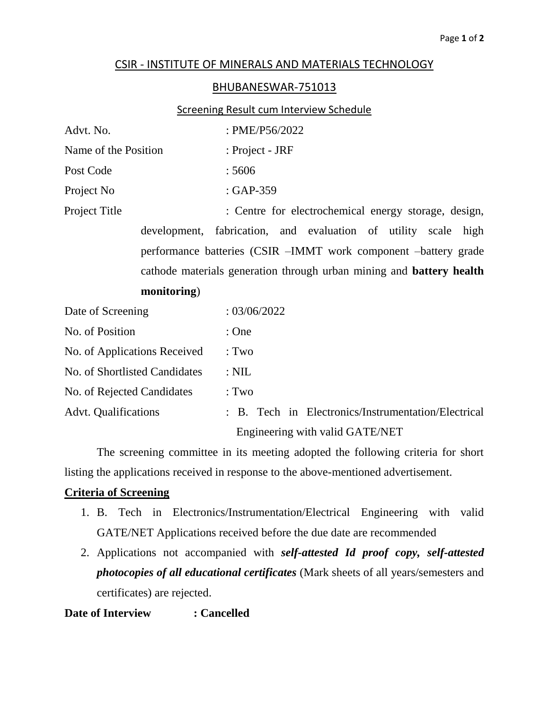### CSIR - INSTITUTE OF MINERALS AND MATERIALS TECHNOLOGY

#### BHUBANESWAR-751013

### Screening Result cum Interview Schedule

| Advt. No.                                                                   | : PME/P56/2022                                                 |  |  |
|-----------------------------------------------------------------------------|----------------------------------------------------------------|--|--|
| Name of the Position                                                        | : Project - JRF                                                |  |  |
| Post Code                                                                   | :5606                                                          |  |  |
| Project No                                                                  | $: GAP-359$                                                    |  |  |
| Project Title<br>: Centre for electrochemical energy storage, design,       |                                                                |  |  |
|                                                                             | development, fabrication, and evaluation of utility scale high |  |  |
| performance batteries (CSIR -IMMT work component -battery grade             |                                                                |  |  |
| cathode materials generation through urban mining and <b>battery health</b> |                                                                |  |  |
| monitoring)                                                                 |                                                                |  |  |
| Date of Screening                                                           | : 03/06/2022                                                   |  |  |
| No. of Position                                                             | : One                                                          |  |  |
| No. of Applications Received                                                | : Two                                                          |  |  |
| No. of Shortlisted Candidates                                               | $:$ NIL                                                        |  |  |

No. of Rejected Candidates : Two

Advt. Qualifications : B. Tech in Electronics/Instrumentation/Electrical Engineering with valid GATE/NET

The screening committee in its meeting adopted the following criteria for short listing the applications received in response to the above-mentioned advertisement.

## **Criteria of Screening**

- 1. B. Tech in Electronics/Instrumentation/Electrical Engineering with valid GATE/NET Applications received before the due date are recommended
- 2. Applications not accompanied with *self-attested Id proof copy, self-attested photocopies of all educational certificates* (Mark sheets of all years/semesters and certificates) are rejected.

**Date of Interview : Cancelled**